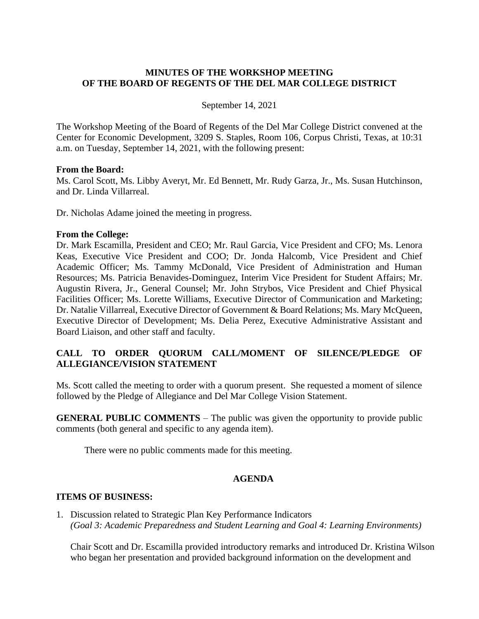# **MINUTES OF THE WORKSHOP MEETING OF THE BOARD OF REGENTS OF THE DEL MAR COLLEGE DISTRICT**

### September 14, 2021

The Workshop Meeting of the Board of Regents of the Del Mar College District convened at the Center for Economic Development, 3209 S. Staples, Room 106, Corpus Christi, Texas, at 10:31 a.m. on Tuesday, September 14, 2021, with the following present:

#### **From the Board:**

Ms. Carol Scott, Ms. Libby Averyt, Mr. Ed Bennett, Mr. Rudy Garza, Jr., Ms. Susan Hutchinson, and Dr. Linda Villarreal.

Dr. Nicholas Adame joined the meeting in progress.

#### **From the College:**

Dr. Mark Escamilla, President and CEO; Mr. Raul Garcia, Vice President and CFO; Ms. Lenora Keas, Executive Vice President and COO; Dr. Jonda Halcomb, Vice President and Chief Academic Officer; Ms. Tammy McDonald, Vice President of Administration and Human Resources; Ms. Patricia Benavides-Dominguez, Interim Vice President for Student Affairs; Mr. Augustin Rivera, Jr., General Counsel; Mr. John Strybos, Vice President and Chief Physical Facilities Officer; Ms. Lorette Williams, Executive Director of Communication and Marketing; Dr. Natalie Villarreal, Executive Director of Government & Board Relations; Ms. Mary McQueen, Executive Director of Development; Ms. Delia Perez, Executive Administrative Assistant and Board Liaison, and other staff and faculty.

# **CALL TO ORDER QUORUM CALL/MOMENT OF SILENCE/PLEDGE OF ALLEGIANCE/VISION STATEMENT**

Ms. Scott called the meeting to order with a quorum present. She requested a moment of silence followed by the Pledge of Allegiance and Del Mar College Vision Statement.

**GENERAL PUBLIC COMMENTS** – The public was given the opportunity to provide public comments (both general and specific to any agenda item).

There were no public comments made for this meeting.

# **AGENDA**

### **ITEMS OF BUSINESS:**

1. Discussion related to Strategic Plan Key Performance Indicators *(Goal 3: Academic Preparedness and Student Learning and Goal 4: Learning Environments)*

Chair Scott and Dr. Escamilla provided introductory remarks and introduced Dr. Kristina Wilson who began her presentation and provided background information on the development and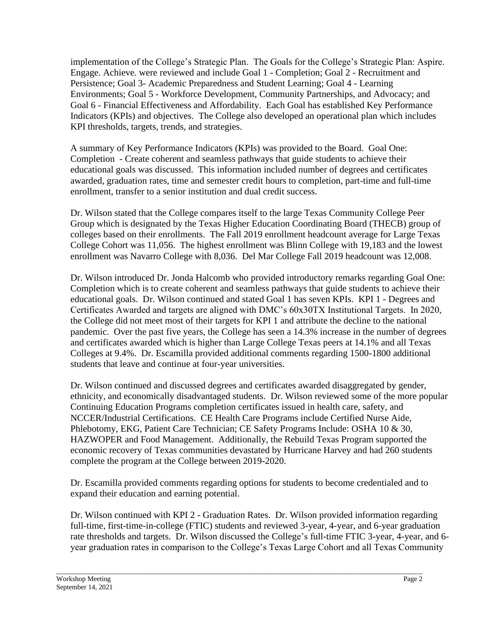implementation of the College's Strategic Plan. The Goals for the College's Strategic Plan: Aspire. Engage. Achieve. were reviewed and include Goal 1 - Completion; Goal 2 - Recruitment and Persistence; Goal 3- Academic Preparedness and Student Learning; Goal 4 - Learning Environments; Goal 5 - Workforce Development, Community Partnerships, and Advocacy; and Goal 6 - Financial Effectiveness and Affordability. Each Goal has established Key Performance Indicators (KPIs) and objectives. The College also developed an operational plan which includes KPI thresholds, targets, trends, and strategies.

A summary of Key Performance Indicators (KPIs) was provided to the Board. Goal One: Completion - Create coherent and seamless pathways that guide students to achieve their educational goals was discussed. This information included number of degrees and certificates awarded, graduation rates, time and semester credit hours to completion, part-time and full-time enrollment, transfer to a senior institution and dual credit success.

Dr. Wilson stated that the College compares itself to the large Texas Community College Peer Group which is designated by the Texas Higher Education Coordinating Board (THECB) group of colleges based on their enrollments. The Fall 2019 enrollment headcount average for Large Texas College Cohort was 11,056. The highest enrollment was Blinn College with 19,183 and the lowest enrollment was Navarro College with 8,036. Del Mar College Fall 2019 headcount was 12,008.

Dr. Wilson introduced Dr. Jonda Halcomb who provided introductory remarks regarding Goal One: Completion which is to create coherent and seamless pathways that guide students to achieve their educational goals. Dr. Wilson continued and stated Goal 1 has seven KPIs. KPI 1 - Degrees and Certificates Awarded and targets are aligned with DMC's 60x30TX Institutional Targets. In 2020, the College did not meet most of their targets for KPI 1 and attribute the decline to the national pandemic. Over the past five years, the College has seen a 14.3% increase in the number of degrees and certificates awarded which is higher than Large College Texas peers at 14.1% and all Texas Colleges at 9.4%. Dr. Escamilla provided additional comments regarding 1500-1800 additional students that leave and continue at four-year universities.

Dr. Wilson continued and discussed degrees and certificates awarded disaggregated by gender, ethnicity, and economically disadvantaged students. Dr. Wilson reviewed some of the more popular Continuing Education Programs completion certificates issued in health care, safety, and NCCER/Industrial Certifications. CE Health Care Programs include Certified Nurse Aide, Phlebotomy, EKG, Patient Care Technician; CE Safety Programs Include: OSHA 10 & 30, HAZWOPER and Food Management. Additionally, the Rebuild Texas Program supported the economic recovery of Texas communities devastated by Hurricane Harvey and had 260 students complete the program at the College between 2019-2020.

Dr. Escamilla provided comments regarding options for students to become credentialed and to expand their education and earning potential.

Dr. Wilson continued with KPI 2 - Graduation Rates. Dr. Wilson provided information regarding full-time, first-time-in-college (FTIC) students and reviewed 3-year, 4-year, and 6-year graduation rate thresholds and targets. Dr. Wilson discussed the College's full-time FTIC 3-year, 4-year, and 6 year graduation rates in comparison to the College's Texas Large Cohort and all Texas Community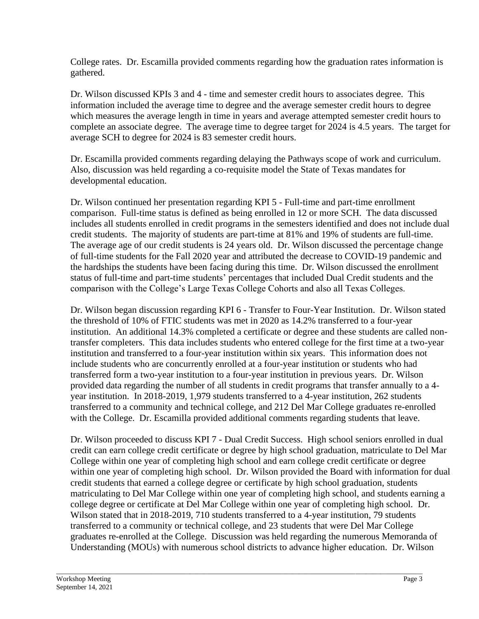College rates. Dr. Escamilla provided comments regarding how the graduation rates information is gathered.

Dr. Wilson discussed KPIs 3 and 4 - time and semester credit hours to associates degree. This information included the average time to degree and the average semester credit hours to degree which measures the average length in time in years and average attempted semester credit hours to complete an associate degree. The average time to degree target for 2024 is 4.5 years. The target for average SCH to degree for 2024 is 83 semester credit hours.

Dr. Escamilla provided comments regarding delaying the Pathways scope of work and curriculum. Also, discussion was held regarding a co-requisite model the State of Texas mandates for developmental education.

Dr. Wilson continued her presentation regarding KPI 5 - Full-time and part-time enrollment comparison. Full-time status is defined as being enrolled in 12 or more SCH. The data discussed includes all students enrolled in credit programs in the semesters identified and does not include dual credit students. The majority of students are part-time at 81% and 19% of students are full-time. The average age of our credit students is 24 years old. Dr. Wilson discussed the percentage change of full-time students for the Fall 2020 year and attributed the decrease to COVID-19 pandemic and the hardships the students have been facing during this time. Dr. Wilson discussed the enrollment status of full-time and part-time students' percentages that included Dual Credit students and the comparison with the College's Large Texas College Cohorts and also all Texas Colleges.

Dr. Wilson began discussion regarding KPI 6 - Transfer to Four-Year Institution. Dr. Wilson stated the threshold of 10% of FTIC students was met in 2020 as 14.2% transferred to a four-year institution. An additional 14.3% completed a certificate or degree and these students are called nontransfer completers. This data includes students who entered college for the first time at a two-year institution and transferred to a four-year institution within six years. This information does not include students who are concurrently enrolled at a four-year institution or students who had transferred form a two-year institution to a four-year institution in previous years. Dr. Wilson provided data regarding the number of all students in credit programs that transfer annually to a 4 year institution. In 2018-2019, 1,979 students transferred to a 4-year institution, 262 students transferred to a community and technical college, and 212 Del Mar College graduates re-enrolled with the College. Dr. Escamilla provided additional comments regarding students that leave.

Dr. Wilson proceeded to discuss KPI 7 - Dual Credit Success. High school seniors enrolled in dual credit can earn college credit certificate or degree by high school graduation, matriculate to Del Mar College within one year of completing high school and earn college credit certificate or degree within one year of completing high school. Dr. Wilson provided the Board with information for dual credit students that earned a college degree or certificate by high school graduation, students matriculating to Del Mar College within one year of completing high school, and students earning a college degree or certificate at Del Mar College within one year of completing high school. Dr. Wilson stated that in 2018-2019, 710 students transferred to a 4-year institution, 79 students transferred to a community or technical college, and 23 students that were Del Mar College graduates re-enrolled at the College. Discussion was held regarding the numerous Memoranda of Understanding (MOUs) with numerous school districts to advance higher education. Dr. Wilson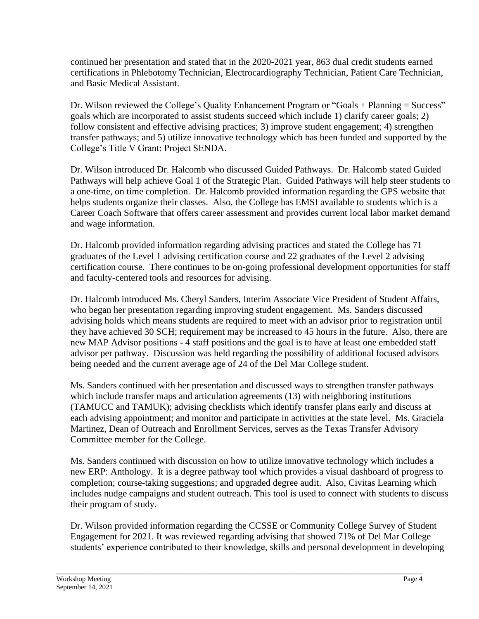continued her presentation and stated that in the 2020-2021 year, 863 dual credit students earned certifications in Phlebotomy Technician, Electrocardiography Technician, Patient Care Technician, and Basic Medical Assistant.

Dr. Wilson reviewed the College's Quality Enhancement Program or "Goals + Planning = Success" goals which are incorporated to assist students succeed which include 1) clarify career goals; 2) follow consistent and effective advising practices; 3) improve student engagement; 4) strengthen transfer pathways; and 5) utilize innovative technology which has been funded and supported by the College's Title V Grant: Project SENDA.

Dr. Wilson introduced Dr. Halcomb who discussed Guided Pathways. Dr. Halcomb stated Guided Pathways will help achieve Goal 1 of the Strategic Plan. Guided Pathways will help steer students to a one-time, on time completion. Dr. Halcomb provided information regarding the GPS website that helps students organize their classes. Also, the College has EMSI available to students which is a Career Coach Software that offers career assessment and provides current local labor market demand and wage information.

Dr. Halcomb provided information regarding advising practices and stated the College has 71 graduates of the Level 1 advising certification course and 22 graduates of the Level 2 advising certification course. There continues to be on-going professional development opportunities for staff and faculty-centered tools and resources for advising.

Dr. Halcomb introduced Ms. Cheryl Sanders, Interim Associate Vice President of Student Affairs, who began her presentation regarding improving student engagement. Ms. Sanders discussed advising holds which means students are required to meet with an advisor prior to registration until they have achieved 30 SCH; requirement may be increased to 45 hours in the future. Also, there are new MAP Advisor positions - 4 staff positions and the goal is to have at least one embedded staff advisor per pathway. Discussion was held regarding the possibility of additional focused advisors being needed and the current average age of 24 of the Del Mar College student.

Ms. Sanders continued with her presentation and discussed ways to strengthen transfer pathways which include transfer maps and articulation agreements (13) with neighboring institutions (TAMUCC and TAMUK); advising checklists which identify transfer plans early and discuss at each advising appointment; and monitor and participate in activities at the state level. Ms. Graciela Martinez, Dean of Outreach and Enrollment Services, serves as the Texas Transfer Advisory Committee member for the College.

Ms. Sanders continued with discussion on how to utilize innovative technology which includes a new ERP: Anthology. It is a degree pathway tool which provides a visual dashboard of progress to completion; course-taking suggestions; and upgraded degree audit. Also, Civitas Learning which includes nudge campaigns and student outreach. This tool is used to connect with students to discuss their program of study.

Dr. Wilson provided information regarding the CCSSE or Community College Survey of Student Engagement for 2021. It was reviewed regarding advising that showed 71% of Del Mar College students' experience contributed to their knowledge, skills and personal development in developing